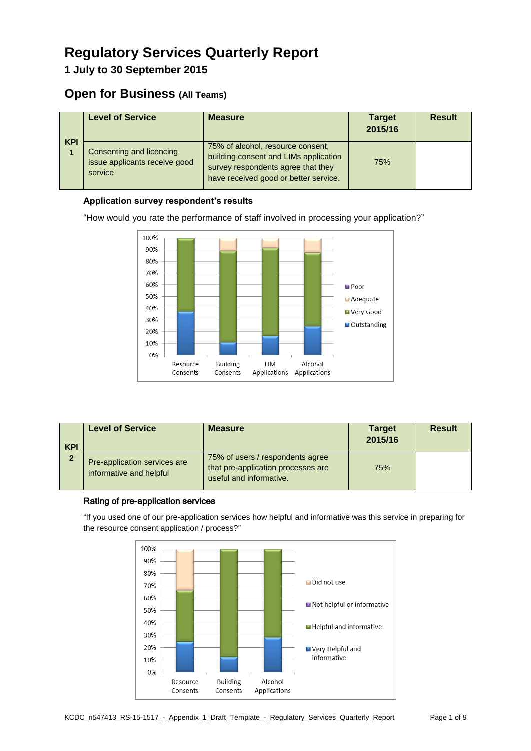# **Regulatory Services Quarterly Report**

**1 July to 30 September 2015**

## **Open for Business (All Teams)**

| <b>KPI</b> | <b>Level of Service</b>                                              | <b>Measure</b>                                                                                                                                            | <b>Target</b><br>2015/16 | <b>Result</b> |
|------------|----------------------------------------------------------------------|-----------------------------------------------------------------------------------------------------------------------------------------------------------|--------------------------|---------------|
|            | Consenting and licencing<br>issue applicants receive good<br>service | 75% of alcohol, resource consent,<br>building consent and LIMs application<br>survey respondents agree that they<br>have received good or better service. | 75%                      |               |

### **Application survey respondent's results**

"How would you rate the performance of staff involved in processing your application?"



| <b>KPI</b><br>$\mathbf{2}$ | <b>Level of Service</b>                                 | <b>Measure</b>                                                                                    | <b>Target</b><br>2015/16 | <b>Result</b> |
|----------------------------|---------------------------------------------------------|---------------------------------------------------------------------------------------------------|--------------------------|---------------|
|                            | Pre-application services are<br>informative and helpful | 75% of users / respondents agree<br>that pre-application processes are<br>useful and informative. | 75%                      |               |

#### Rating of pre-application services

"If you used one of our pre-application services how helpful and informative was this service in preparing for the resource consent application / process?"

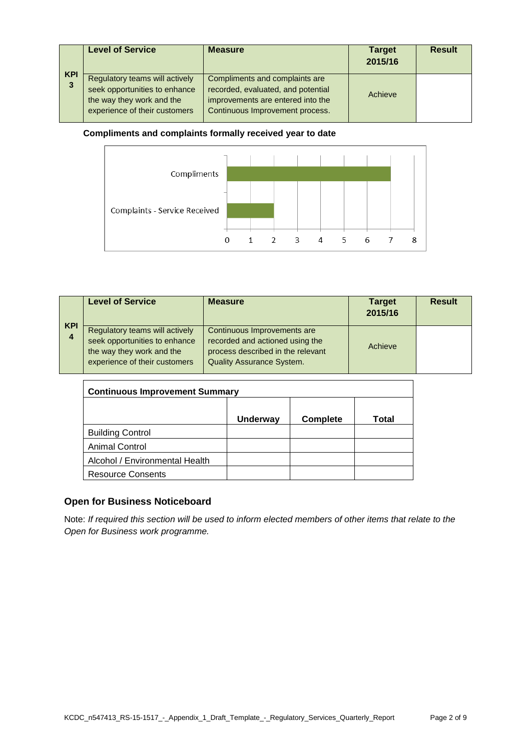|                 | <b>Level of Service</b>                                                                                                       | <b>Measure</b>                                                                                                                               | <b>Target</b><br>2015/16 | <b>Result</b> |
|-----------------|-------------------------------------------------------------------------------------------------------------------------------|----------------------------------------------------------------------------------------------------------------------------------------------|--------------------------|---------------|
| <b>KPI</b><br>3 | Regulatory teams will actively<br>seek opportunities to enhance<br>the way they work and the<br>experience of their customers | Compliments and complaints are<br>recorded, evaluated, and potential<br>improvements are entered into the<br>Continuous Improvement process. | Achieve                  |               |

#### **Compliments and complaints formally received year to date**



|                 | <b>Level of Service</b>                                                                                                       | <b>Measure</b>                                                                                                                          | <b>Target</b><br>2015/16 | <b>Result</b> |
|-----------------|-------------------------------------------------------------------------------------------------------------------------------|-----------------------------------------------------------------------------------------------------------------------------------------|--------------------------|---------------|
| <b>KPI</b><br>4 | Regulatory teams will actively<br>seek opportunities to enhance<br>the way they work and the<br>experience of their customers | Continuous Improvements are<br>recorded and actioned using the<br>process described in the relevant<br><b>Quality Assurance System.</b> | Achieve                  |               |

| <b>Continuous Improvement Summary</b> |                 |                 |       |  |
|---------------------------------------|-----------------|-----------------|-------|--|
|                                       |                 |                 |       |  |
|                                       | <b>Underway</b> | <b>Complete</b> | Total |  |
| <b>Building Control</b>               |                 |                 |       |  |
| <b>Animal Control</b>                 |                 |                 |       |  |
| Alcohol / Environmental Health        |                 |                 |       |  |
| <b>Resource Consents</b>              |                 |                 |       |  |

### **Open for Business Noticeboard**

Note: *If required this section will be used to inform elected members of other items that relate to the Open for Business work programme.*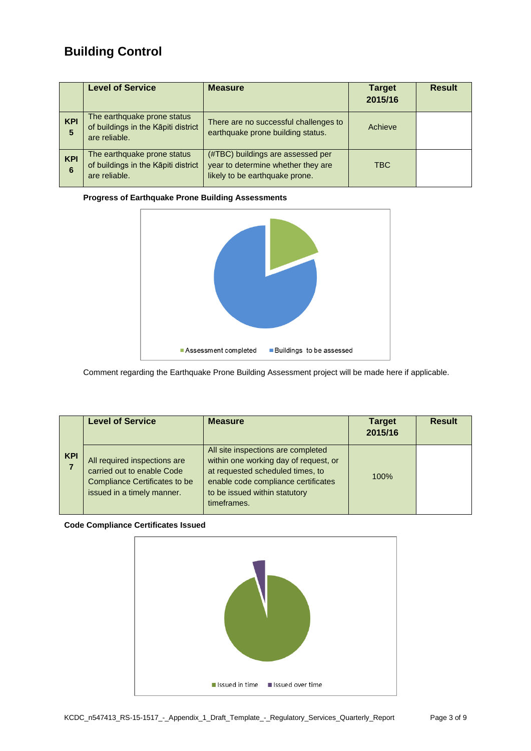# **Building Control**

|                 | <b>Level of Service</b>                                                             | <b>Measure</b>                                                                                            | <b>Target</b><br>2015/16 | <b>Result</b> |
|-----------------|-------------------------------------------------------------------------------------|-----------------------------------------------------------------------------------------------------------|--------------------------|---------------|
| <b>KPI</b><br>5 | The earthquake prone status<br>of buildings in the Kāpiti district<br>are reliable. | There are no successful challenges to<br>earthquake prone building status.                                | Achieve                  |               |
| <b>KPI</b><br>6 | The earthquake prone status<br>of buildings in the Kāpiti district<br>are reliable. | (#TBC) buildings are assessed per<br>year to determine whether they are<br>likely to be earthquake prone. | <b>TBC</b>               |               |

#### **Progress of Earthquake Prone Building Assessments**



Comment regarding the Earthquake Prone Building Assessment project will be made here if applicable.

|            | <b>Level of Service</b>                                                                                                          | <b>Measure</b>                                                                                                                                                                                         | <b>Target</b><br>2015/16 | <b>Result</b> |
|------------|----------------------------------------------------------------------------------------------------------------------------------|--------------------------------------------------------------------------------------------------------------------------------------------------------------------------------------------------------|--------------------------|---------------|
| <b>KPI</b> | All required inspections are<br>carried out to enable Code<br><b>Compliance Certificates to be</b><br>issued in a timely manner. | All site inspections are completed<br>within one working day of request, or<br>at requested scheduled times, to<br>enable code compliance certificates<br>to be issued within statutory<br>timeframes. | 100%                     |               |

#### **Code Compliance Certificates Issued**

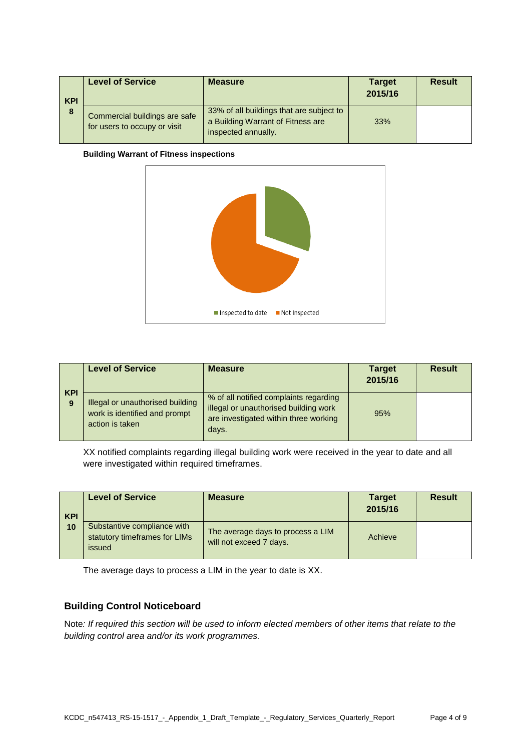| <b>KPI</b><br>8 | <b>Level of Service</b>                                       | <b>Measure</b>                                                                                       | <b>Target</b><br>2015/16 | <b>Result</b> |
|-----------------|---------------------------------------------------------------|------------------------------------------------------------------------------------------------------|--------------------------|---------------|
|                 | Commercial buildings are safe<br>for users to occupy or visit | 33% of all buildings that are subject to<br>a Building Warrant of Fitness are<br>inspected annually. | 33%                      |               |

#### **Building Warrant of Fitness inspections**



|                 | <b>Level of Service</b>                                                              | <b>Measure</b>                                                                                                                    | <b>Target</b><br>2015/16 | <b>Result</b> |
|-----------------|--------------------------------------------------------------------------------------|-----------------------------------------------------------------------------------------------------------------------------------|--------------------------|---------------|
| <b>KPI</b><br>9 | Illegal or unauthorised building<br>work is identified and prompt<br>action is taken | % of all notified complaints regarding<br>illegal or unauthorised building work<br>are investigated within three working<br>days. | 95%                      |               |

XX notified complaints regarding illegal building work were received in the year to date and all were investigated within required timeframes.

| <b>KPI</b><br>10 | <b>Level of Service</b>                                                | <b>Measure</b>                                               | <b>Target</b><br>2015/16 | <b>Result</b> |
|------------------|------------------------------------------------------------------------|--------------------------------------------------------------|--------------------------|---------------|
|                  | Substantive compliance with<br>statutory timeframes for LIMs<br>issued | The average days to process a LIM<br>will not exceed 7 days. | Achieve                  |               |

The average days to process a LIM in the year to date is XX.

#### **Building Control Noticeboard**

Note*: If required this section will be used to inform elected members of other items that relate to the building control area and/or its work programmes.*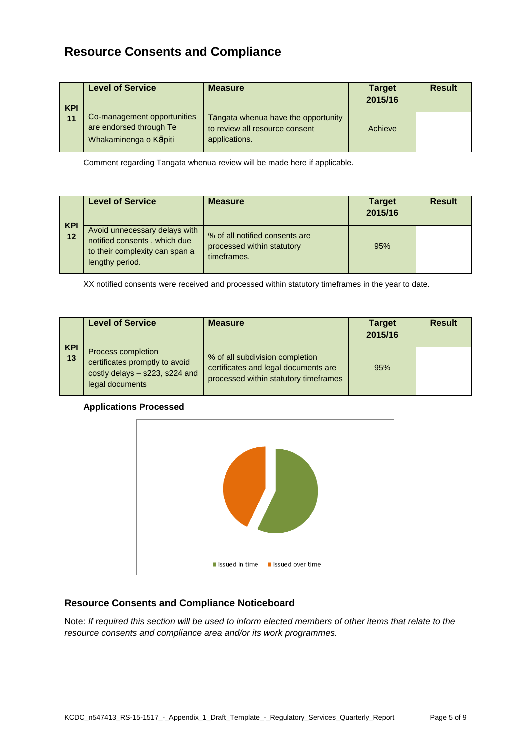# **Resource Consents and Compliance**

| <b>KPI</b><br>11 | <b>Level of Service</b>                                                         | <b>Measure</b>                                                                         | <b>Target</b><br>2015/16 | <b>Result</b> |
|------------------|---------------------------------------------------------------------------------|----------------------------------------------------------------------------------------|--------------------------|---------------|
|                  | Co-management opportunities<br>are endorsed through Te<br>Whakaminenga o Kapiti | Tāngata whenua have the opportunity<br>to review all resource consent<br>applications. | Achieve                  |               |

Comment regarding Tangata whenua review will be made here if applicable.

| <b>KPI</b> | <b>Level of Service</b>                                                                                            | <b>Measure</b>                                                              | <b>Target</b><br>2015/16 | <b>Result</b> |
|------------|--------------------------------------------------------------------------------------------------------------------|-----------------------------------------------------------------------------|--------------------------|---------------|
| 12         | Avoid unnecessary delays with<br>notified consents, which due<br>to their complexity can span a<br>lengthy period. | % of all notified consents are<br>processed within statutory<br>timeframes. | 95%                      |               |

XX notified consents were received and processed within statutory timeframes in the year to date.

|                  | <b>Level of Service</b>                                                                                   | <b>Measure</b>                                                                                                   | <b>Target</b><br>2015/16 | <b>Result</b> |
|------------------|-----------------------------------------------------------------------------------------------------------|------------------------------------------------------------------------------------------------------------------|--------------------------|---------------|
| <b>KPI</b><br>13 | Process completion<br>certificates promptly to avoid<br>costly delays - s223, s224 and<br>legal documents | % of all subdivision completion<br>certificates and legal documents are<br>processed within statutory timeframes | 95%                      |               |

#### **Applications Processed**



#### **Resource Consents and Compliance Noticeboard**

Note: *If required this section will be used to inform elected members of other items that relate to the resource consents and compliance area and/or its work programmes.*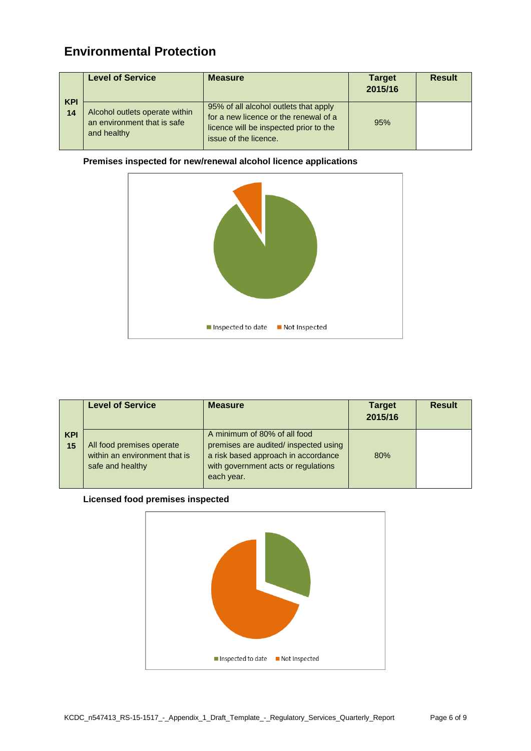# **Environmental Protection**

|                  | <b>Level of Service</b>                                                      | <b>Measure</b>                                                                                                                                    | <b>Target</b><br>2015/16 | <b>Result</b> |
|------------------|------------------------------------------------------------------------------|---------------------------------------------------------------------------------------------------------------------------------------------------|--------------------------|---------------|
| <b>KPI</b><br>14 | Alcohol outlets operate within<br>an environment that is safe<br>and healthy | 95% of all alcohol outlets that apply<br>for a new licence or the renewal of a<br>licence will be inspected prior to the<br>issue of the licence. | 95%                      |               |

#### **Premises inspected for new/renewal alcohol licence applications**



|                  | <b>Level of Service</b>                                                        | <b>Measure</b>                                                                                                                                                    | <b>Target</b><br>2015/16 | <b>Result</b> |
|------------------|--------------------------------------------------------------------------------|-------------------------------------------------------------------------------------------------------------------------------------------------------------------|--------------------------|---------------|
| <b>KPI</b><br>15 | All food premises operate<br>within an environment that is<br>safe and healthy | A minimum of 80% of all food<br>premises are audited/ inspected using<br>a risk based approach in accordance<br>with government acts or regulations<br>each year. | 80%                      |               |

#### **Licensed food premises inspected**

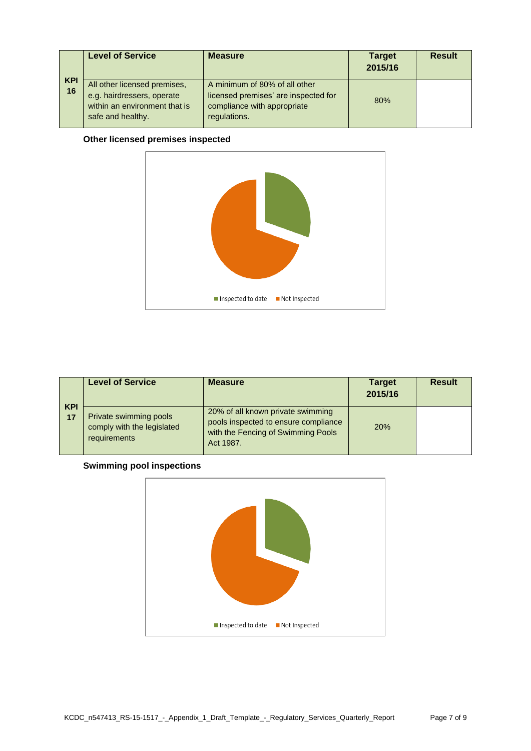|                  | <b>Level of Service</b>                                                                                          | <b>Measure</b>                                                                                                       | <b>Target</b><br>2015/16 | <b>Result</b> |
|------------------|------------------------------------------------------------------------------------------------------------------|----------------------------------------------------------------------------------------------------------------------|--------------------------|---------------|
| <b>KPI</b><br>16 | All other licensed premises,<br>e.g. hairdressers, operate<br>within an environment that is<br>safe and healthy. | A minimum of 80% of all other<br>licensed premises' are inspected for<br>compliance with appropriate<br>regulations. | 80%                      |               |

### **Other licensed premises inspected**



|                  | <b>Level of Service</b>                                              | <b>Measure</b>                                                                                                               | <b>Target</b><br>2015/16 | <b>Result</b> |
|------------------|----------------------------------------------------------------------|------------------------------------------------------------------------------------------------------------------------------|--------------------------|---------------|
| <b>KPI</b><br>17 | Private swimming pools<br>comply with the legislated<br>requirements | 20% of all known private swimming<br>pools inspected to ensure compliance<br>with the Fencing of Swimming Pools<br>Act 1987. | 20%                      |               |

#### **Swimming pool inspections**

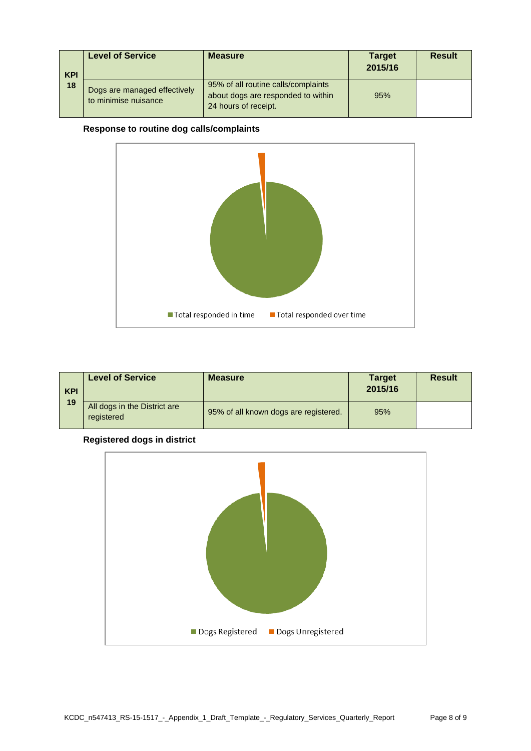| <b>KPI</b><br>18 | <b>Level of Service</b>                              | <b>Measure</b>                                                                                    | <b>Target</b><br>2015/16 | <b>Result</b> |
|------------------|------------------------------------------------------|---------------------------------------------------------------------------------------------------|--------------------------|---------------|
|                  | Dogs are managed effectively<br>to minimise nuisance | 95% of all routine calls/complaints<br>about dogs are responded to within<br>24 hours of receipt. | 95%                      |               |

#### **Response to routine dog calls/complaints**



| <b>KPI</b><br>19 | <b>Level of Service</b>                    | <b>Measure</b>                        | <b>Target</b><br>2015/16 | <b>Result</b> |
|------------------|--------------------------------------------|---------------------------------------|--------------------------|---------------|
|                  | All dogs in the District are<br>registered | 95% of all known dogs are registered. | 95%                      |               |

### **Registered dogs in district**